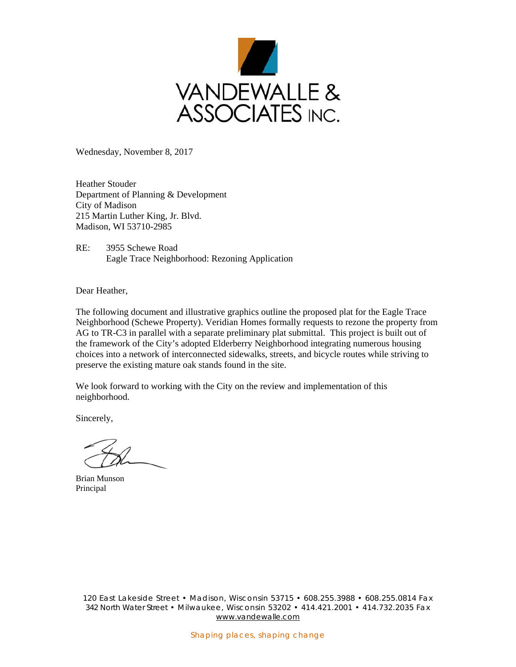

Wednesday, November 8, 2017

Heather Stouder Department of Planning & Development City of Madison 215 Martin Luther King, Jr. Blvd. Madison, WI 53710-2985

RE: 3955 Schewe Road Eagle Trace Neighborhood: Rezoning Application

Dear Heather,

The following document and illustrative graphics outline the proposed plat for the Eagle Trace Neighborhood (Schewe Property). Veridian Homes formally requests to rezone the property from AG to TR-C3 in parallel with a separate preliminary plat submittal. This project is built out of the framework of the City's adopted Elderberry Neighborhood integrating numerous housing choices into a network of interconnected sidewalks, streets, and bicycle routes while striving to preserve the existing mature oak stands found in the site.

We look forward to working with the City on the review and implementation of this neighborhood.

Sincerely,

Brian Munson Principal

120 East Lakeside Street • Madison, Wisconsin 53715 • 608.255.3988 • 608.255.0814 Fax 342 North Water Street • Milwaukee, Wisconsin 53202 • 414.421.2001 • 414.732.2035 Fax www.vandewalle.com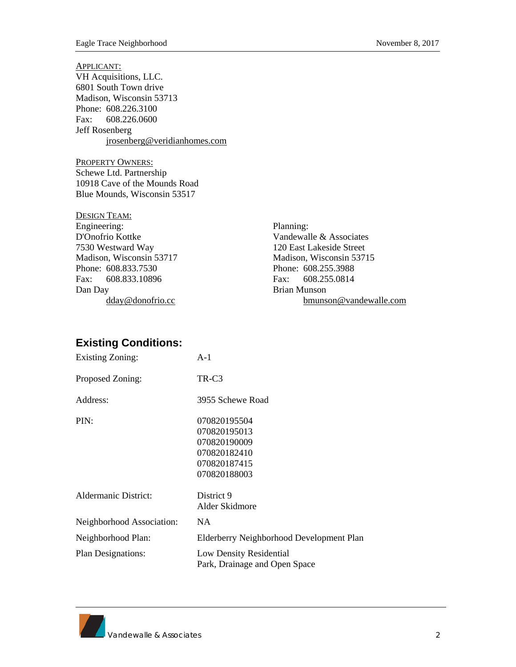APPLICANT: VH Acquisitions, LLC. 6801 South Town drive Madison, Wisconsin 53713 Phone: 608.226.3100 Fax: 608.226.0600 Jeff Rosenberg jrosenberg@veridianhomes.com

PROPERTY OWNERS: Schewe Ltd. Partnership 10918 Cave of the Mounds Road Blue Mounds, Wisconsin 53517

| <b>DESIGN TEAM:</b>      |                          |
|--------------------------|--------------------------|
| Engineering:             | Planning:                |
| D'Onofrio Kottke         | Vandewalle & Associates  |
| 7530 Westward Way        | 120 East Lakeside Street |
| Madison, Wisconsin 53717 | Madison, Wisconsin 53715 |
| Phone: 608.833.7530      | Phone: 608.255.3988      |
| Fax: 608.833.10896       | Fax: 608.255.0814        |
| Dan Day                  | Brian Munson             |
| dday@donofrio.cc         | bmunson@vandewalle.com   |

## **Existing Conditions:**

| <b>Existing Zoning:</b>   | $A-1$                                                                                        |  |
|---------------------------|----------------------------------------------------------------------------------------------|--|
| Proposed Zoning:          | TR-C3                                                                                        |  |
| Address:                  | 3955 Schewe Road                                                                             |  |
| PIN:                      | 070820195504<br>070820195013<br>070820190009<br>070820182410<br>070820187415<br>070820188003 |  |
| Aldermanic District:      | District 9<br>Alder Skidmore                                                                 |  |
| Neighborhood Association: | NA.                                                                                          |  |
| Neighborhood Plan:        | Elderberry Neighborhood Development Plan                                                     |  |
| <b>Plan Designations:</b> | Low Density Residential<br>Park, Drainage and Open Space                                     |  |

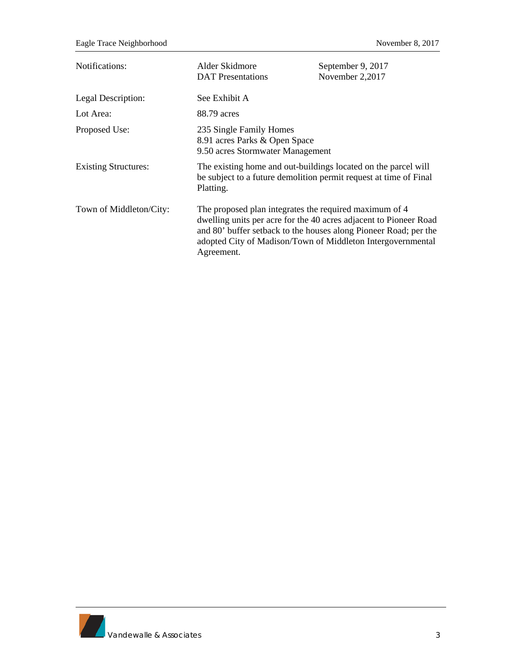| Notifications:              | Alder Skidmore<br><b>DAT</b> Presentations                                                                                                                                                                                                                                   | September 9, 2017<br>November 2,2017 |
|-----------------------------|------------------------------------------------------------------------------------------------------------------------------------------------------------------------------------------------------------------------------------------------------------------------------|--------------------------------------|
| Legal Description:          | See Exhibit A                                                                                                                                                                                                                                                                |                                      |
| Lot Area:                   | 88.79 acres                                                                                                                                                                                                                                                                  |                                      |
| Proposed Use:               | 235 Single Family Homes<br>8.91 acres Parks & Open Space<br>9.50 acres Stormwater Management                                                                                                                                                                                 |                                      |
| <b>Existing Structures:</b> | The existing home and out-buildings located on the parcel will<br>be subject to a future demolition permit request at time of Final<br>Platting.                                                                                                                             |                                      |
| Town of Middleton/City:     | The proposed plan integrates the required maximum of 4<br>dwelling units per acre for the 40 acres adjacent to Pioneer Road<br>and 80' buffer setback to the houses along Pioneer Road; per the<br>adopted City of Madison/Town of Middleton Intergovernmental<br>Agreement. |                                      |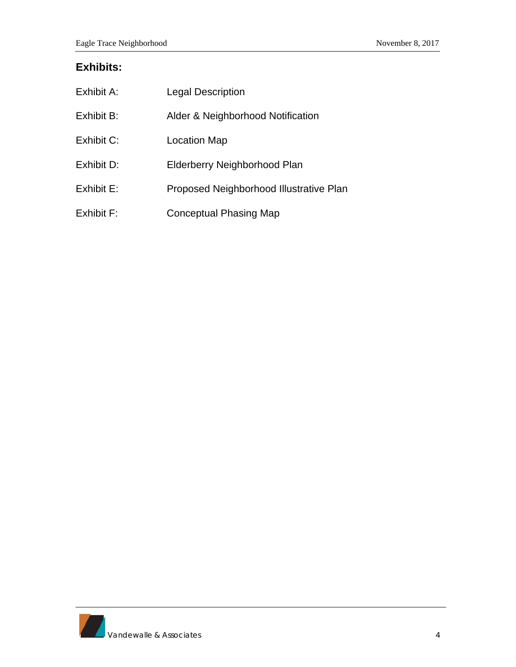## **Exhibits:**

| Exhibit A: | <b>Legal Description</b>                |
|------------|-----------------------------------------|
| Exhibit B: | Alder & Neighborhood Notification       |
| Exhibit C: | Location Map                            |
| Exhibit D: | Elderberry Neighborhood Plan            |
| Exhibit E: | Proposed Neighborhood Illustrative Plan |
| Exhibit F: | <b>Conceptual Phasing Map</b>           |